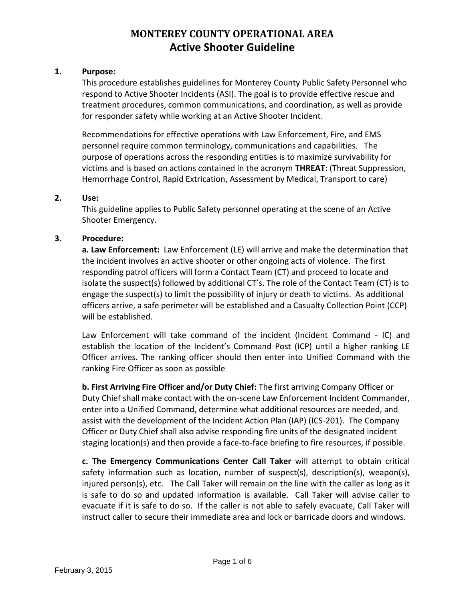#### **1. Purpose:**

This procedure establishes guidelines for Monterey County Public Safety Personnel who respond to Active Shooter Incidents (ASI). The goal is to provide effective rescue and treatment procedures, common communications, and coordination, as well as provide for responder safety while working at an Active Shooter Incident.

Recommendations for effective operations with Law Enforcement, Fire, and EMS personnel require common terminology, communications and capabilities. The purpose of operations across the responding entities is to maximize survivability for victims and is based on actions contained in the acronym **THREAT**: (Threat Suppression, Hemorrhage Control, Rapid Extrication, Assessment by Medical, Transport to care)

### **2. Use:**

This guideline applies to Public Safety personnel operating at the scene of an Active Shooter Emergency.

### **3. Procedure:**

**a. Law Enforcement:** Law Enforcement (LE) will arrive and make the determination that the incident involves an active shooter or other ongoing acts of violence. The first responding patrol officers will form a Contact Team (CT) and proceed to locate and isolate the suspect(s) followed by additional CT's. The role of the Contact Team (CT) is to engage the suspect(s) to limit the possibility of injury or death to victims. As additional officers arrive, a safe perimeter will be established and a Casualty Collection Point (CCP) will be established.

Law Enforcement will take command of the incident (Incident Command - IC) and establish the location of the Incident's Command Post (ICP) until a higher ranking LE Officer arrives. The ranking officer should then enter into Unified Command with the ranking Fire Officer as soon as possible

**b. First Arriving Fire Officer and/or Duty Chief:** The first arriving Company Officer or Duty Chief shall make contact with the on-scene Law Enforcement Incident Commander, enter into a Unified Command, determine what additional resources are needed, and assist with the development of the Incident Action Plan (IAP) (ICS-201). The Company Officer or Duty Chief shall also advise responding fire units of the designated incident staging location(s) and then provide a face-to-face briefing to fire resources, if possible.

**c. The Emergency Communications Center Call Taker** will attempt to obtain critical safety information such as location, number of suspect(s), description(s), weapon(s), injured person(s), etc. The Call Taker will remain on the line with the caller as long as it is safe to do so and updated information is available. Call Taker will advise caller to evacuate if it is safe to do so. If the caller is not able to safely evacuate, Call Taker will instruct caller to secure their immediate area and lock or barricade doors and windows.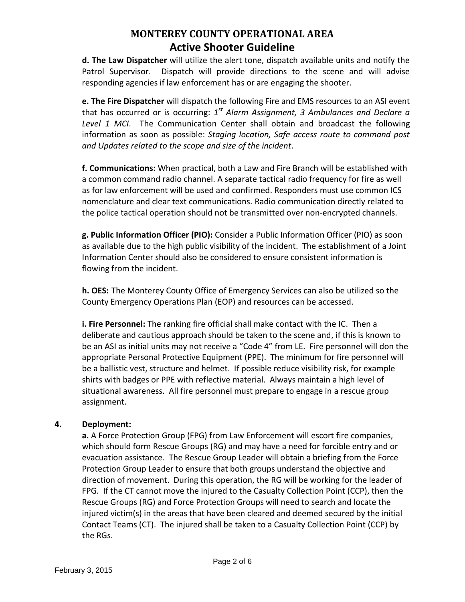**d. The Law Dispatcher** will utilize the alert tone, dispatch available units and notify the Patrol Supervisor. Dispatch will provide directions to the scene and will advise responding agencies if law enforcement has or are engaging the shooter.

**e. The Fire Dispatcher** will dispatch the following Fire and EMS resources to an ASI event that has occurred or is occurring: 1<sup>st</sup> Alarm Assignment, 3 Ambulances and Declare a *Level 1 MCI*. The Communication Center shall obtain and broadcast the following information as soon as possible: *Staging location, Safe access route to command post and Updates related to the scope and size of the incident*.

**f. Communications:** When practical, both a Law and Fire Branch will be established with a common command radio channel. A separate tactical radio frequency for fire as well as for law enforcement will be used and confirmed. Responders must use common ICS nomenclature and clear text communications. Radio communication directly related to the police tactical operation should not be transmitted over non-encrypted channels.

**g. Public Information Officer (PIO):** Consider a Public Information Officer (PIO) as soon as available due to the high public visibility of the incident. The establishment of a Joint Information Center should also be considered to ensure consistent information is flowing from the incident.

**h. OES:** The Monterey County Office of Emergency Services can also be utilized so the County Emergency Operations Plan (EOP) and resources can be accessed.

**i. Fire Personnel:** The ranking fire official shall make contact with the IC. Then a deliberate and cautious approach should be taken to the scene and, if this is known to be an ASI as initial units may not receive a "Code 4" from LE. Fire personnel will don the appropriate Personal Protective Equipment (PPE). The minimum for fire personnel will be a ballistic vest, structure and helmet. If possible reduce visibility risk, for example shirts with badges or PPE with reflective material. Always maintain a high level of situational awareness. All fire personnel must prepare to engage in a rescue group assignment.

### **4. Deployment:**

**a.** A Force Protection Group (FPG) from Law Enforcement will escort fire companies, which should form Rescue Groups (RG) and may have a need for forcible entry and or evacuation assistance. The Rescue Group Leader will obtain a briefing from the Force Protection Group Leader to ensure that both groups understand the objective and direction of movement. During this operation, the RG will be working for the leader of FPG. If the CT cannot move the injured to the Casualty Collection Point (CCP), then the Rescue Groups (RG) and Force Protection Groups will need to search and locate the injured victim(s) in the areas that have been cleared and deemed secured by the initial Contact Teams (CT). The injured shall be taken to a Casualty Collection Point (CCP) by the RGs.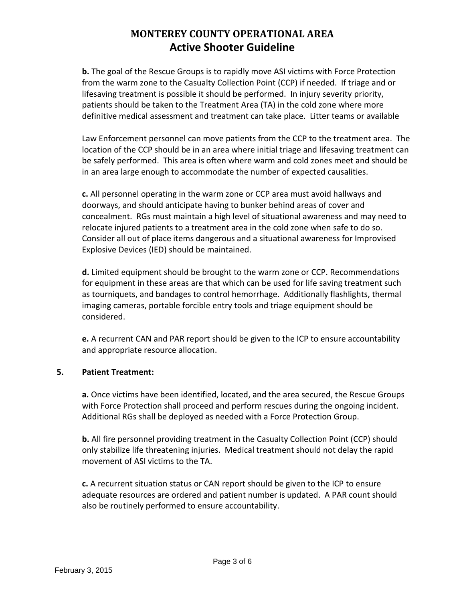**b.** The goal of the Rescue Groups is to rapidly move ASI victims with Force Protection from the warm zone to the Casualty Collection Point (CCP) if needed. If triage and or lifesaving treatment is possible it should be performed. In injury severity priority, patients should be taken to the Treatment Area (TA) in the cold zone where more definitive medical assessment and treatment can take place. Litter teams or available

Law Enforcement personnel can move patients from the CCP to the treatment area. The location of the CCP should be in an area where initial triage and lifesaving treatment can be safely performed. This area is often where warm and cold zones meet and should be in an area large enough to accommodate the number of expected causalities.

**c.** All personnel operating in the warm zone or CCP area must avoid hallways and doorways, and should anticipate having to bunker behind areas of cover and concealment. RGs must maintain a high level of situational awareness and may need to relocate injured patients to a treatment area in the cold zone when safe to do so. Consider all out of place items dangerous and a situational awareness for Improvised Explosive Devices (IED) should be maintained.

**d.** Limited equipment should be brought to the warm zone or CCP. Recommendations for equipment in these areas are that which can be used for life saving treatment such as tourniquets, and bandages to control hemorrhage. Additionally flashlights, thermal imaging cameras, portable forcible entry tools and triage equipment should be considered.

**e.** A recurrent CAN and PAR report should be given to the ICP to ensure accountability and appropriate resource allocation.

### **5. Patient Treatment:**

**a.** Once victims have been identified, located, and the area secured, the Rescue Groups with Force Protection shall proceed and perform rescues during the ongoing incident. Additional RGs shall be deployed as needed with a Force Protection Group.

**b.** All fire personnel providing treatment in the Casualty Collection Point (CCP) should only stabilize life threatening injuries. Medical treatment should not delay the rapid movement of ASI victims to the TA.

**c.** A recurrent situation status or CAN report should be given to the ICP to ensure adequate resources are ordered and patient number is updated. A PAR count should also be routinely performed to ensure accountability.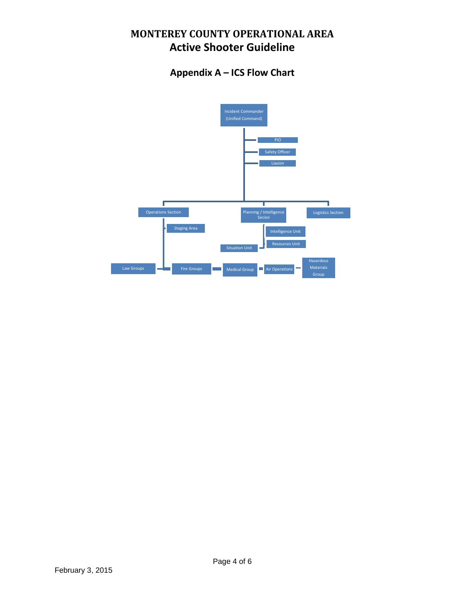### **Appendix A – ICS Flow Chart**

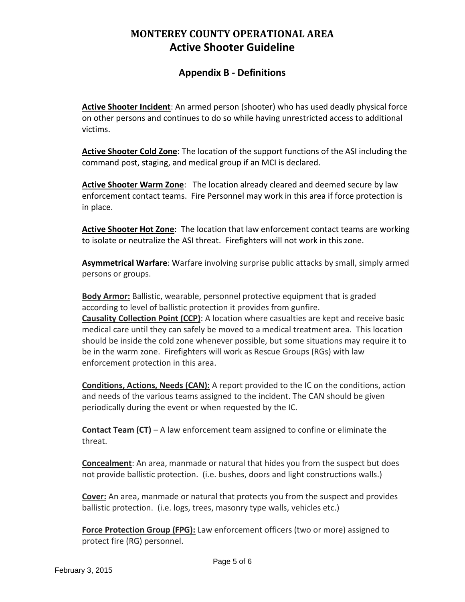### **Appendix B - Definitions**

**Active Shooter Incident**: An armed person (shooter) who has used deadly physical force on other persons and continues to do so while having unrestricted access to additional victims.

**Active Shooter Cold Zone**: The location of the support functions of the ASI including the command post, staging, and medical group if an MCI is declared.

**Active Shooter Warm Zone**: The location already cleared and deemed secure by law enforcement contact teams. Fire Personnel may work in this area if force protection is in place.

**Active Shooter Hot Zone**: The location that law enforcement contact teams are working to isolate or neutralize the ASI threat. Firefighters will not work in this zone.

**Asymmetrical Warfare**: Warfare involving surprise public attacks by small, simply armed persons or groups.

**Body Armor:** Ballistic, wearable, personnel protective equipment that is graded according to level of ballistic protection it provides from gunfire. **Causality Collection Point (CCP)**: A location where casualties are kept and receive basic

medical care until they can safely be moved to a medical treatment area. This location should be inside the cold zone whenever possible, but some situations may require it to be in the warm zone. Firefighters will work as Rescue Groups (RGs) with law enforcement protection in this area.

**Conditions, Actions, Needs (CAN):** A report provided to the IC on the conditions, action and needs of the various teams assigned to the incident. The CAN should be given periodically during the event or when requested by the IC.

**Contact Team (CT)** – A law enforcement team assigned to confine or eliminate the threat.

**Concealment**: An area, manmade or natural that hides you from the suspect but does not provide ballistic protection. (i.e. bushes, doors and light constructions walls.)

**Cover:** An area, manmade or natural that protects you from the suspect and provides ballistic protection. (i.e. logs, trees, masonry type walls, vehicles etc.)

**Force Protection Group (FPG):** Law enforcement officers (two or more) assigned to protect fire (RG) personnel.